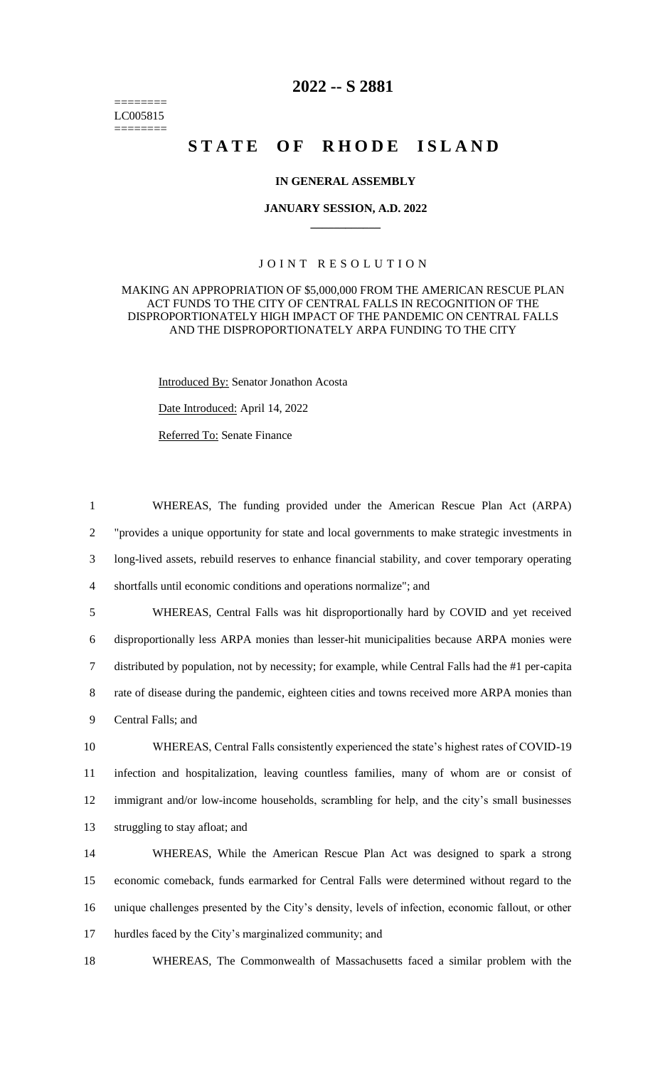======== LC005815 ========

# **2022 -- S 2881**

# **STATE OF RHODE ISLAND**

### **IN GENERAL ASSEMBLY**

#### **JANUARY SESSION, A.D. 2022 \_\_\_\_\_\_\_\_\_\_\_\_**

## JOINT RESOLUTION

## MAKING AN APPROPRIATION OF \$5,000,000 FROM THE AMERICAN RESCUE PLAN ACT FUNDS TO THE CITY OF CENTRAL FALLS IN RECOGNITION OF THE DISPROPORTIONATELY HIGH IMPACT OF THE PANDEMIC ON CENTRAL FALLS AND THE DISPROPORTIONATELY ARPA FUNDING TO THE CITY

Introduced By: Senator Jonathon Acosta Date Introduced: April 14, 2022 Referred To: Senate Finance

 WHEREAS, The funding provided under the American Rescue Plan Act (ARPA) "provides a unique opportunity for state and local governments to make strategic investments in long-lived assets, rebuild reserves to enhance financial stability, and cover temporary operating shortfalls until economic conditions and operations normalize"; and

 WHEREAS, Central Falls was hit disproportionally hard by COVID and yet received disproportionally less ARPA monies than lesser-hit municipalities because ARPA monies were distributed by population, not by necessity; for example, while Central Falls had the #1 per-capita 8 rate of disease during the pandemic, eighteen cities and towns received more ARPA monies than Central Falls; and

 WHEREAS, Central Falls consistently experienced the state's highest rates of COVID-19 infection and hospitalization, leaving countless families, many of whom are or consist of immigrant and/or low-income households, scrambling for help, and the city's small businesses struggling to stay afloat; and

 WHEREAS, While the American Rescue Plan Act was designed to spark a strong economic comeback, funds earmarked for Central Falls were determined without regard to the unique challenges presented by the City's density, levels of infection, economic fallout, or other hurdles faced by the City's marginalized community; and

18 WHEREAS, The Commonwealth of Massachusetts faced a similar problem with the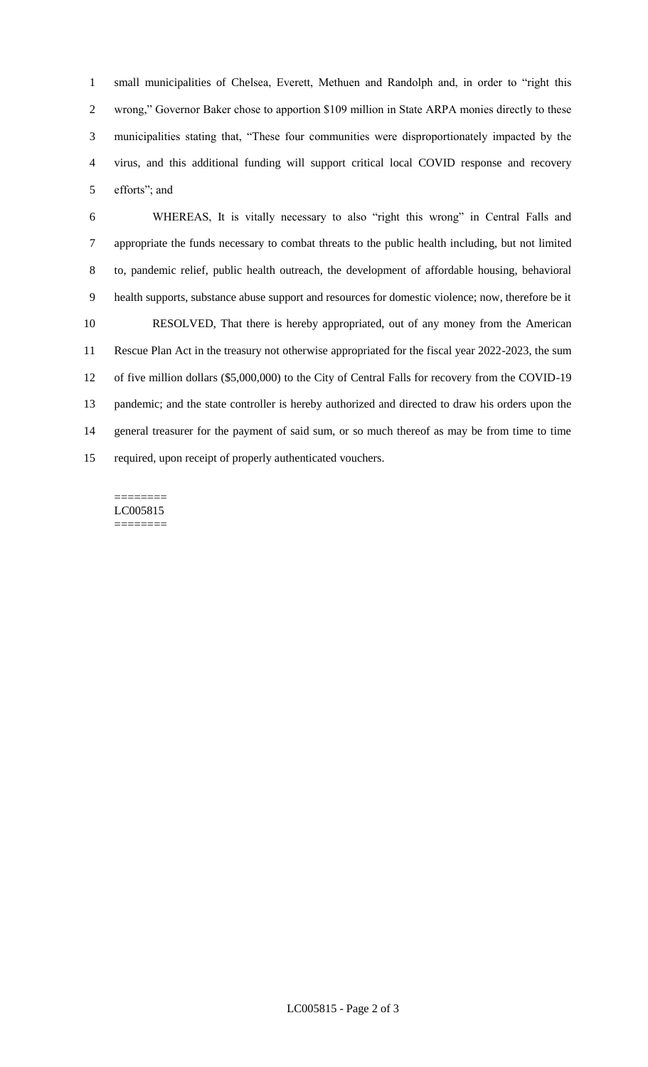small municipalities of Chelsea, Everett, Methuen and Randolph and, in order to "right this wrong," Governor Baker chose to apportion \$109 million in State ARPA monies directly to these municipalities stating that, "These four communities were disproportionately impacted by the virus, and this additional funding will support critical local COVID response and recovery efforts"; and

 WHEREAS, It is vitally necessary to also "right this wrong" in Central Falls and appropriate the funds necessary to combat threats to the public health including, but not limited to, pandemic relief, public health outreach, the development of affordable housing, behavioral health supports, substance abuse support and resources for domestic violence; now, therefore be it RESOLVED, That there is hereby appropriated, out of any money from the American Rescue Plan Act in the treasury not otherwise appropriated for the fiscal year 2022-2023, the sum of five million dollars (\$5,000,000) to the City of Central Falls for recovery from the COVID-19 pandemic; and the state controller is hereby authorized and directed to draw his orders upon the general treasurer for the payment of said sum, or so much thereof as may be from time to time required, upon receipt of properly authenticated vouchers.

======== LC005815 ========